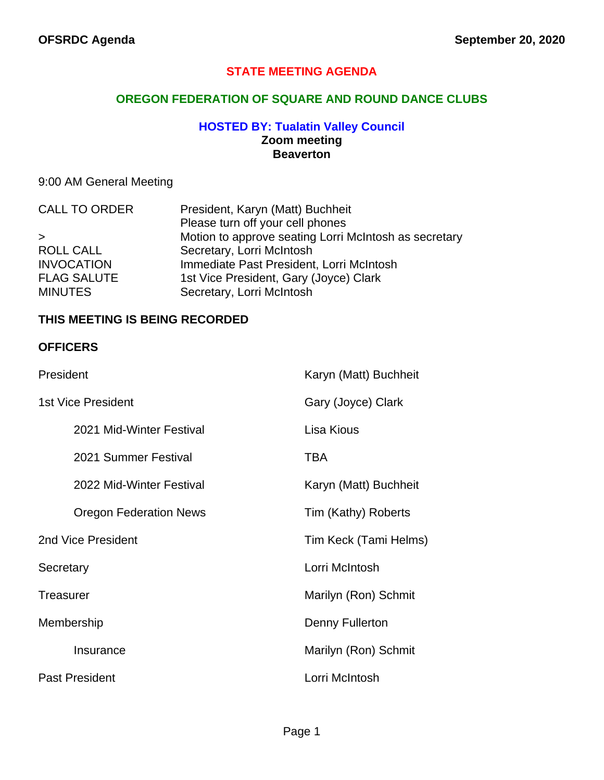#### **STATE MEETING AGENDA**

#### **OREGON FEDERATION OF SQUARE AND ROUND DANCE CLUBS**

#### **HOSTED BY: Tualatin Valley Council Zoom meeting Beaverton**

## 9:00 AM General Meeting

| <b>CALL TO ORDER</b> | President, Karyn (Matt) Buchheit                      |
|----------------------|-------------------------------------------------------|
|                      | Please turn off your cell phones                      |
| $\geq$               | Motion to approve seating Lorri McIntosh as secretary |
| <b>ROLL CALL</b>     | Secretary, Lorri McIntosh                             |
| <b>INVOCATION</b>    | Immediate Past President, Lorri McIntosh              |
| <b>FLAG SALUTE</b>   | 1st Vice President, Gary (Joyce) Clark                |
| <b>MINUTES</b>       | Secretary, Lorri McIntosh                             |
|                      |                                                       |

#### **THIS MEETING IS BEING RECORDED**

#### **OFFICERS**

| President                     | Karyn (Matt) Buchheit |
|-------------------------------|-----------------------|
| 1st Vice President            | Gary (Joyce) Clark    |
| 2021 Mid-Winter Festival      | Lisa Kious            |
| 2021 Summer Festival          | TBA                   |
| 2022 Mid-Winter Festival      | Karyn (Matt) Buchheit |
| <b>Oregon Federation News</b> | Tim (Kathy) Roberts   |
| 2nd Vice President            | Tim Keck (Tami Helms) |
| Secretary                     | Lorri McIntosh        |
| Treasurer                     | Marilyn (Ron) Schmit  |
| Membership                    | Denny Fullerton       |
| Insurance                     | Marilyn (Ron) Schmit  |
| <b>Past President</b>         | Lorri McIntosh        |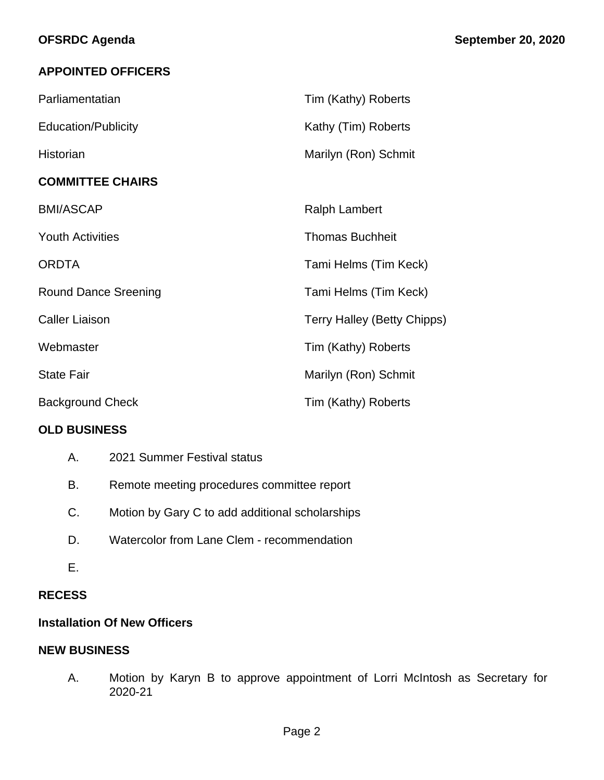## **APPOINTED OFFICERS**

| Parliamentatian             | Tim (Kathy) Roberts                |
|-----------------------------|------------------------------------|
| <b>Education/Publicity</b>  | Kathy (Tim) Roberts                |
| Historian                   | Marilyn (Ron) Schmit               |
| <b>COMMITTEE CHAIRS</b>     |                                    |
| <b>BMI/ASCAP</b>            | <b>Ralph Lambert</b>               |
| <b>Youth Activities</b>     | <b>Thomas Buchheit</b>             |
| <b>ORDTA</b>                | Tami Helms (Tim Keck)              |
| <b>Round Dance Sreening</b> | Tami Helms (Tim Keck)              |
| <b>Caller Liaison</b>       | <b>Terry Halley (Betty Chipps)</b> |
| Webmaster                   | Tim (Kathy) Roberts                |
| <b>State Fair</b>           | Marilyn (Ron) Schmit               |
| <b>Background Check</b>     | Tim (Kathy) Roberts                |

### **OLD BUSINESS**

| А. | 2021 Summer Festival status |
|----|-----------------------------|
|----|-----------------------------|

- B. Remote meeting procedures committee report
- C. Motion by Gary C to add additional scholarships
- D. Watercolor from Lane Clem recommendation
- E.

### **RECESS**

### **Installation Of New Officers**

#### **NEW BUSINESS**

A. Motion by Karyn B to approve appointment of Lorri McIntosh as Secretary for 2020-21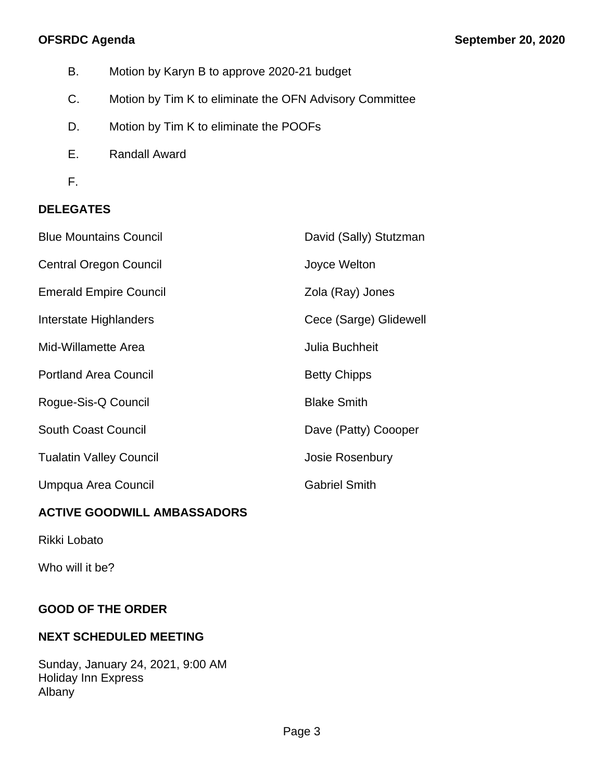- B. Motion by Karyn B to approve 2020-21 budget
- C. Motion by Tim K to eliminate the OFN Advisory Committee
- D. Motion by Tim K to eliminate the POOFs
- E. Randall Award
- F.

# **DELEGATES**

| <b>Blue Mountains Council</b>  | David (Sally) Stutzman |
|--------------------------------|------------------------|
| <b>Central Oregon Council</b>  | Joyce Welton           |
| <b>Emerald Empire Council</b>  | Zola (Ray) Jones       |
| Interstate Highlanders         | Cece (Sarge) Glidewell |
| Mid-Willamette Area            | Julia Buchheit         |
| <b>Portland Area Council</b>   | <b>Betty Chipps</b>    |
| Rogue-Sis-Q Council            | <b>Blake Smith</b>     |
| <b>South Coast Council</b>     | Dave (Patty) Coooper   |
| <b>Tualatin Valley Council</b> | Josie Rosenbury        |
| Umpqua Area Council            | <b>Gabriel Smith</b>   |
|                                |                        |

# **ACTIVE GOODWILL AMBASSADORS**

Rikki Lobato

Who will it be?

# **GOOD OF THE ORDER**

## **NEXT SCHEDULED MEETING**

Sunday, January 24, 2021, 9:00 AM Holiday Inn Express Albany